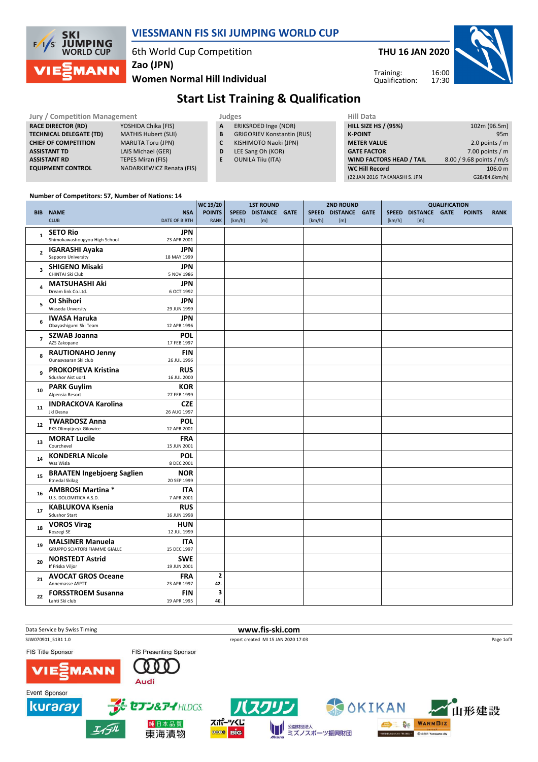

### VIESSMANN FIS SKI JUMPING WORLD CUP

6th World Cup Competition

THU 16 JAN 2020

 $\overline{a}$ 

Training: Qualification:



Women Normal Hill Individual Zao (JPN)

# Start List Training & Qualification

| <b>Jury / Competition Management</b> |                            |    | Judges                            | <b>Hill Data</b>                |                          |  |  |  |
|--------------------------------------|----------------------------|----|-----------------------------------|---------------------------------|--------------------------|--|--|--|
| <b>RACE DIRECTOR (RD)</b>            | YOSHIDA Chika (FIS)        | A  | ERIKSROED Inge (NOR)              | <b>HILL SIZE HS / (95%)</b>     | 102m (96.5m)             |  |  |  |
| <b>TECHNICAL DELEGATE (TD)</b>       | <b>MATHIS Hubert (SUI)</b> | B  | <b>GRIGORIEV Konstantin (RUS)</b> | <b>K-POINT</b>                  | 95m                      |  |  |  |
| <b>CHIEF OF COMPETITION</b>          | <b>MARUTA Toru (JPN)</b>   | C  | KISHIMOTO Naoki (JPN)             | <b>METER VALUE</b>              | 2.0 points $/m$          |  |  |  |
| <b>ASSISTANT TD</b>                  | LAIS Michael (GER)         | D  | LEE Sang Oh (KOR)                 | <b>GATE FACTOR</b>              | 7.00 points $/m$         |  |  |  |
| <b>ASSISTANT RD</b>                  | <b>TEPES Miran (FIS)</b>   | E. | <b>OUNILA Tiiu (ITA)</b>          | <b>WIND FACTORS HEAD / TAIL</b> | 8.00 / 9.68 points / m/s |  |  |  |
| <b>EQUIPMENT CONTROL</b>             | NADARKIEWICZ Renata (FIS)  |    |                                   | <b>WC Hill Record</b>           | 106.0 m                  |  |  |  |
|                                      |                            |    |                                   | (22 JAN 2016 TAKANASHI S. JPN   | G28/84.6km/h)            |  |  |  |

#### Number of Competitors: 57, Number of Nations: 14

|                         |                                                  |                           | <b>WC 19/20</b>         | <b>1ST ROUND</b> |                     |  | <b>2ND ROUND</b> | <b>QUALIFICATION</b> |        |                     |  |               |             |
|-------------------------|--------------------------------------------------|---------------------------|-------------------------|------------------|---------------------|--|------------------|----------------------|--------|---------------------|--|---------------|-------------|
|                         | <b>BIB NAME</b>                                  | <b>NSA</b>                | <b>POINTS</b>           |                  | SPEED DISTANCE GATE |  |                  | SPEED DISTANCE GATE  |        | SPEED DISTANCE GATE |  | <b>POINTS</b> | <b>RANK</b> |
|                         | <b>CLUB</b>                                      | DATE OF BIRTH             | <b>RANK</b>             | [km/h]           | [m]                 |  | [km/h]           | [m]                  | [km/h] | [m]                 |  |               |             |
| $\mathbf{1}$            | <b>SETO Rio</b>                                  | JPN                       |                         |                  |                     |  |                  |                      |        |                     |  |               |             |
|                         | Shimokawashougyou High School                    | 23 APR 2001               |                         |                  |                     |  |                  |                      |        |                     |  |               |             |
| $\overline{\mathbf{c}}$ | <b>IGARASHI Ayaka</b>                            | <b>JPN</b>                |                         |                  |                     |  |                  |                      |        |                     |  |               |             |
|                         | Sapporo University                               | 18 MAY 1999               |                         |                  |                     |  |                  |                      |        |                     |  |               |             |
| $\overline{\mathbf{3}}$ | <b>SHIGENO Misaki</b>                            | <b>JPN</b>                |                         |                  |                     |  |                  |                      |        |                     |  |               |             |
|                         | CHINTAI Ski Club                                 | 5 NOV 1986                |                         |                  |                     |  |                  |                      |        |                     |  |               |             |
| 4                       | <b>MATSUHASHI Aki</b>                            | <b>JPN</b>                |                         |                  |                     |  |                  |                      |        |                     |  |               |             |
|                         | Dream link Co.Ltd.                               | 6 OCT 1992                |                         |                  |                     |  |                  |                      |        |                     |  |               |             |
| 5                       | OI Shihori<br><b>Waseda Unversity</b>            | JPN<br>29 JUN 1999        |                         |                  |                     |  |                  |                      |        |                     |  |               |             |
|                         |                                                  |                           |                         |                  |                     |  |                  |                      |        |                     |  |               |             |
| 6                       | <b>IWASA Haruka</b><br>Obayashigumi Ski Team     | <b>JPN</b><br>12 APR 1996 |                         |                  |                     |  |                  |                      |        |                     |  |               |             |
|                         | <b>SZWAB Joanna</b>                              | <b>POL</b>                |                         |                  |                     |  |                  |                      |        |                     |  |               |             |
| $\overline{7}$          | AZS Zakopane                                     | 17 FEB 1997               |                         |                  |                     |  |                  |                      |        |                     |  |               |             |
|                         | <b>RAUTIONAHO Jenny</b>                          | <b>FIN</b>                |                         |                  |                     |  |                  |                      |        |                     |  |               |             |
| 8                       | Ounasvaaran Ski club                             | 26 JUL 1996               |                         |                  |                     |  |                  |                      |        |                     |  |               |             |
| 9                       | <b>PROKOPIEVA Kristina</b>                       | <b>RUS</b>                |                         |                  |                     |  |                  |                      |        |                     |  |               |             |
|                         | Sdushor Aist uor1                                | 16 JUL 2000               |                         |                  |                     |  |                  |                      |        |                     |  |               |             |
| 10                      | <b>PARK Guylim</b>                               | KOR                       |                         |                  |                     |  |                  |                      |        |                     |  |               |             |
|                         | Alpensia Resort                                  | 27 FEB 1999               |                         |                  |                     |  |                  |                      |        |                     |  |               |             |
| 11                      | <b>INDRACKOVA Karolina</b>                       | <b>CZE</b>                |                         |                  |                     |  |                  |                      |        |                     |  |               |             |
|                         | Jkl Desna                                        | 26 AUG 1997               |                         |                  |                     |  |                  |                      |        |                     |  |               |             |
| 12                      | <b>TWARDOSZ Anna</b><br>PKS Olimpijczyk Gilowice | <b>POL</b>                |                         |                  |                     |  |                  |                      |        |                     |  |               |             |
|                         |                                                  | 12 APR 2001               |                         |                  |                     |  |                  |                      |        |                     |  |               |             |
| 13                      | <b>MORAT Lucile</b><br>Courchevel                | <b>FRA</b><br>15 JUN 2001 |                         |                  |                     |  |                  |                      |        |                     |  |               |             |
|                         | <b>KONDERLA Nicole</b>                           | <b>POL</b>                |                         |                  |                     |  |                  |                      |        |                     |  |               |             |
| 14                      | Wss Wisla                                        | 8 DEC 2001                |                         |                  |                     |  |                  |                      |        |                     |  |               |             |
|                         | <b>BRAATEN Ingebjoerg Saglien</b>                | <b>NOR</b>                |                         |                  |                     |  |                  |                      |        |                     |  |               |             |
| 15                      | <b>Etnedal Skilag</b>                            | 20 SEP 1999               |                         |                  |                     |  |                  |                      |        |                     |  |               |             |
| 16                      | <b>AMBROSI Martina *</b>                         | <b>ITA</b>                |                         |                  |                     |  |                  |                      |        |                     |  |               |             |
|                         | U.S. DOLOMITICA A.S.D.                           | 7 APR 2001                |                         |                  |                     |  |                  |                      |        |                     |  |               |             |
| 17                      | <b>KABLUKOVA Ksenia</b>                          | <b>RUS</b>                |                         |                  |                     |  |                  |                      |        |                     |  |               |             |
|                         | <b>Sdushor Start</b>                             | 16 JUN 1998               |                         |                  |                     |  |                  |                      |        |                     |  |               |             |
| 18                      | <b>VOROS Virag</b>                               | <b>HUN</b>                |                         |                  |                     |  |                  |                      |        |                     |  |               |             |
|                         | Koszegi SE                                       | 12 JUL 1999               |                         |                  |                     |  |                  |                      |        |                     |  |               |             |
| 19                      | <b>MALSINER Manuela</b>                          | <b>ITA</b>                |                         |                  |                     |  |                  |                      |        |                     |  |               |             |
|                         | <b>GRUPPO SCIATORI FIAMME GIALLE</b>             | 15 DEC 1997               |                         |                  |                     |  |                  |                      |        |                     |  |               |             |
| 20                      | <b>NORSTEDT Astrid</b><br>If Friska Viljor       | <b>SWE</b><br>19 JUN 2001 |                         |                  |                     |  |                  |                      |        |                     |  |               |             |
|                         | <b>AVOCAT GROS Oceane</b>                        | <b>FRA</b>                | $\overline{\mathbf{c}}$ |                  |                     |  |                  |                      |        |                     |  |               |             |
| 21                      | Annemasse ASPTT                                  | 23 APR 1997               | 42.                     |                  |                     |  |                  |                      |        |                     |  |               |             |
|                         | <b>FORSSTROEM Susanna</b>                        | <b>FIN</b>                | 3                       |                  |                     |  |                  |                      |        |                     |  |               |             |
| 22                      | Lahti Ski club                                   | 19 APR 1995               | 40.                     |                  |                     |  |                  |                      |        |                     |  |               |             |

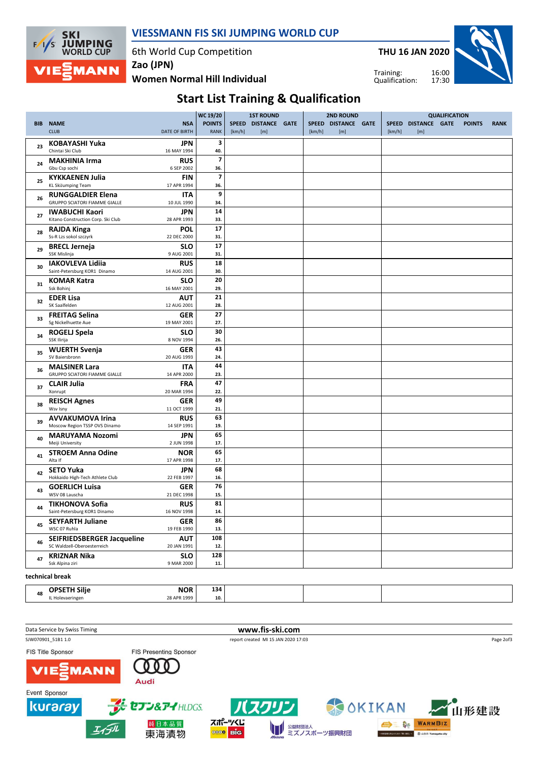

#### VIESSMANN FIS SKI JUMPING WORLD CUP

6th World Cup Competition

Women Normal Hill Individual Zao (JPN)

THU 16 JAN 2020

Training: Qualification:



## Start List Training & Qualification

|    |                                                              |                           | WC 19/20                 | <b>1ST ROUND</b> |                     |  |        | <b>2ND ROUND</b>    |              |                      |               |             |
|----|--------------------------------------------------------------|---------------------------|--------------------------|------------------|---------------------|--|--------|---------------------|--------------|----------------------|---------------|-------------|
|    | <b>BIB NAME</b>                                              | <b>NSA</b>                | <b>POINTS</b>            |                  | SPEED DISTANCE GATE |  |        | SPEED DISTANCE GATE | <b>SPEED</b> | <b>DISTANCE GATE</b> | <b>POINTS</b> | <b>RANK</b> |
|    | <b>CLUB</b>                                                  | DATE OF BIRTH             | <b>RANK</b>              | [km/h]           | [m]                 |  | [km/h] | [m]                 | [km/h]       | [m]                  |               |             |
|    | <b>KOBAYASHI Yuka</b>                                        | <b>JPN</b>                | 3                        |                  |                     |  |        |                     |              |                      |               |             |
| 23 | Chintai Ski Club                                             | 16 MAY 1994               | 40.                      |                  |                     |  |        |                     |              |                      |               |             |
|    | <b>MAKHINIA Irma</b>                                         | <b>RUS</b>                | $\overline{\phantom{a}}$ |                  |                     |  |        |                     |              |                      |               |             |
| 24 | Gbu Csp sochi                                                | 6 SEP 2002                | 36.                      |                  |                     |  |        |                     |              |                      |               |             |
|    | <b>KYKKAENEN Julia</b>                                       | <b>FIN</b>                | $\overline{\phantom{a}}$ |                  |                     |  |        |                     |              |                      |               |             |
| 25 | <b>KL SkiJumping Team</b>                                    | 17 APR 1994               | 36.                      |                  |                     |  |        |                     |              |                      |               |             |
| 26 | <b>RUNGGALDIER Elena</b>                                     | <b>ITA</b>                | 9                        |                  |                     |  |        |                     |              |                      |               |             |
|    | <b>GRUPPO SCIATORI FIAMME GIALLE</b>                         | 10 JUL 1990               | 34.                      |                  |                     |  |        |                     |              |                      |               |             |
| 27 | <b>IWABUCHI Kaori</b>                                        | JPN                       | 14                       |                  |                     |  |        |                     |              |                      |               |             |
|    | Kitano Construction Corp. Ski Club                           | 28 APR 1993               | 33.                      |                  |                     |  |        |                     |              |                      |               |             |
| 28 | <b>RAJDA Kinga</b>                                           | <b>POL</b>                | 17                       |                  |                     |  |        |                     |              |                      |               |             |
|    | Ss-R Lzs sokol szczyrk                                       | 22 DEC 2000               | 31.                      |                  |                     |  |        |                     |              |                      |               |             |
| 29 | <b>BRECL Jerneja</b>                                         | <b>SLO</b>                | 17                       |                  |                     |  |        |                     |              |                      |               |             |
|    | SSK Mislinja                                                 | 9 AUG 2001                | 31.                      |                  |                     |  |        |                     |              |                      |               |             |
| 30 | <b>IAKOVLEVA Lidiia</b>                                      | <b>RUS</b>                | 18                       |                  |                     |  |        |                     |              |                      |               |             |
|    | Saint-Petersburg KOR1 Dinamo                                 | 14 AUG 2001               | 30.                      |                  |                     |  |        |                     |              |                      |               |             |
| 31 | <b>KOMAR Katra</b>                                           | <b>SLO</b>                | 20                       |                  |                     |  |        |                     |              |                      |               |             |
|    | Ssk Bohinj                                                   | 16 MAY 2001               | 29.                      |                  |                     |  |        |                     |              |                      |               |             |
| 32 | <b>EDER Lisa</b>                                             | <b>AUT</b>                | 21                       |                  |                     |  |        |                     |              |                      |               |             |
|    | SK Saalfelden                                                | 12 AUG 2001               | 28.                      |                  |                     |  |        |                     |              |                      |               |             |
| 33 | <b>FREITAG Selina</b>                                        | <b>GER</b>                | 27                       |                  |                     |  |        |                     |              |                      |               |             |
|    | Sg Nickelhuette Aue                                          | 19 MAY 2001               | 27.                      |                  |                     |  |        |                     |              |                      |               |             |
| 34 | <b>ROGELJ Spela</b>                                          | <b>SLO</b>                | 30                       |                  |                     |  |        |                     |              |                      |               |             |
|    | SSK Ilirija                                                  | 8 NOV 1994                | 26.                      |                  |                     |  |        |                     |              |                      |               |             |
| 35 | <b>WUERTH Svenja</b>                                         | <b>GER</b>                | 43                       |                  |                     |  |        |                     |              |                      |               |             |
|    | SV Baiersbronn                                               | 20 AUG 1993               | 24.                      |                  |                     |  |        |                     |              |                      |               |             |
| 36 | <b>MALSINER Lara</b><br><b>GRUPPO SCIATORI FIAMME GIALLE</b> | <b>ITA</b><br>14 APR 2000 | 44<br>23.                |                  |                     |  |        |                     |              |                      |               |             |
|    |                                                              |                           | 47                       |                  |                     |  |        |                     |              |                      |               |             |
| 37 | <b>CLAIR Julia</b><br>Xonrupt                                | <b>FRA</b><br>20 MAR 1994 | 22.                      |                  |                     |  |        |                     |              |                      |               |             |
|    |                                                              |                           | 49                       |                  |                     |  |        |                     |              |                      |               |             |
| 38 | <b>REISCH Agnes</b><br>Wsv Isny                              | GER<br>11 OCT 1999        | 21.                      |                  |                     |  |        |                     |              |                      |               |             |
|    | <b>AVVAKUMOVA Irina</b>                                      | <b>RUS</b>                | 63                       |                  |                     |  |        |                     |              |                      |               |             |
| 39 | Moscow Region TSSP OVS Dinamo                                | 14 SEP 1991               | 19.                      |                  |                     |  |        |                     |              |                      |               |             |
|    | <b>MARUYAMA Nozomi</b>                                       | <b>JPN</b>                | 65                       |                  |                     |  |        |                     |              |                      |               |             |
| 40 | Meiji University                                             | 2 JUN 1998                | 17.                      |                  |                     |  |        |                     |              |                      |               |             |
|    | <b>STROEM Anna Odine</b>                                     | <b>NOR</b>                | 65                       |                  |                     |  |        |                     |              |                      |               |             |
| 41 | Alta If                                                      | 17 APR 1998               | 17.                      |                  |                     |  |        |                     |              |                      |               |             |
|    | <b>SETO Yuka</b>                                             | <b>JPN</b>                | 68                       |                  |                     |  |        |                     |              |                      |               |             |
| 42 | Hokkaido High-Tech Athlete Club                              | 22 FEB 1997               | 16.                      |                  |                     |  |        |                     |              |                      |               |             |
|    | <b>GOERLICH Luisa</b>                                        | <b>GER</b>                | 76                       |                  |                     |  |        |                     |              |                      |               |             |
| 43 | WSV 08 Lauscha                                               | 21 DEC 1998               | 15.                      |                  |                     |  |        |                     |              |                      |               |             |
|    | <b>TIKHONOVA Sofia</b>                                       | <b>RUS</b>                | 81                       |                  |                     |  |        |                     |              |                      |               |             |
| 44 | Saint-Petersburg KOR1 Dinamo                                 | 16 NOV 1998               | 14.                      |                  |                     |  |        |                     |              |                      |               |             |
|    | <b>SEYFARTH Juliane</b>                                      | <b>GER</b>                | 86                       |                  |                     |  |        |                     |              |                      |               |             |
| 45 | WSC 07 Ruhla                                                 | 19 FEB 1990               | 13.                      |                  |                     |  |        |                     |              |                      |               |             |
| 46 | <b>SEIFRIEDSBERGER Jacqueline</b>                            | <b>AUT</b>                | 108                      |                  |                     |  |        |                     |              |                      |               |             |
|    | SC Waldzell-Oberoesterreich                                  | 20 JAN 1991               | 12.                      |                  |                     |  |        |                     |              |                      |               |             |
| 47 | <b>KRIZNAR Nika</b>                                          | <b>SLO</b>                | 128                      |                  |                     |  |        |                     |              |                      |               |             |
|    | Ssk Alpina ziri                                              | 9 MAR 2000                | 11.                      |                  |                     |  |        |                     |              |                      |               |             |
|    | والممعط الممتعطمهم                                           |                           |                          |                  |                     |  |        |                     |              |                      |               |             |

| technical break |
|-----------------|
|                 |

| 48 | $- \cdot \cdot$<br><b>NOR</b><br>nd<br>۱۱۱۲د<br>. | 134 |  |  |
|----|---------------------------------------------------|-----|--|--|
|    | 100                                               | 10. |  |  |